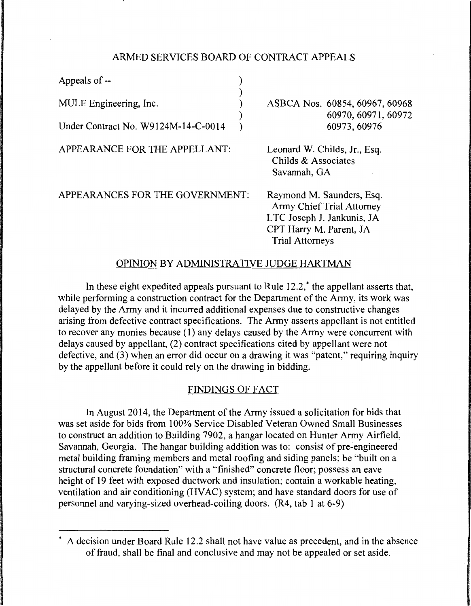# ARMED SERVICES BOARD OF CONTRACT APPEALS

)

)

Appeals of --MULE Engineering, Inc. Under Contract No. W9124M-14-C-0014 )

APPEARANCE FOR THE APPELLANT:

APPEARANCES FOR THE GOVERNMENT:

ASBCA Nos. 60854, 60967, 60968 60970,60971,60972 60973,60976

Leonard W. Childs, Jr., Esq. Childs & Associates Savannah, GA

Raymond M. Saunders, Esq. Army Chief Trial Attorney LTC Joseph J. Jankunis, JA CPI Harry M. Parent, JA Trial Attorneys

# OPINION BY ADMINISTRATIVE JUDGE HARTMAN

In these eight expedited appeals pursuant to Rule 12.2,<sup>\*</sup> the appellant asserts that, while performing a construction contract for the Department of the Army, its work was delayed by the Army and it incurred additional expenses due to constructive changes arising from defective contract specifications. The Army asserts appellant is not entitled to recover any monies because  $(1)$  any delays caused by the Army were concurrent with delays caused by appellant, (2) contract specifications cited by appellant were not defective, and (3) when an error did occur on a drawing it was "patent," requiring inquiry by the appellant before it could rely on the drawing in bidding.

## FINDINGS OF FACT

In August 2014, the Department of the Army issued a solicitation for bids that was set aside for bids from 100% Service Disabled Veteran Owned Small Businesses to construct an addition to Building 7902, a hangar located on Hunter Army Airfield, Savannah, Georgia. The hangar building addition was to: consist of pre-engineered metal building framing members and metal roofing and siding panels; be "built on a structural concrete foundation" with a "finished" concrete floor; possess an eave height of 19 feet with exposed ductwork and insulation; contain a workable heating, ventilation and air conditioning (HVAC) system; and have standard doors for use of personnel and varying-sized overhead-coiling doors. (R4, tab 1 at 6-9)

<sup>•</sup> A decision under Board Rule 12.2 shall not have value as precedent, and in the absence of fraud, shall be final and conclusive and may not be appealed or set aside.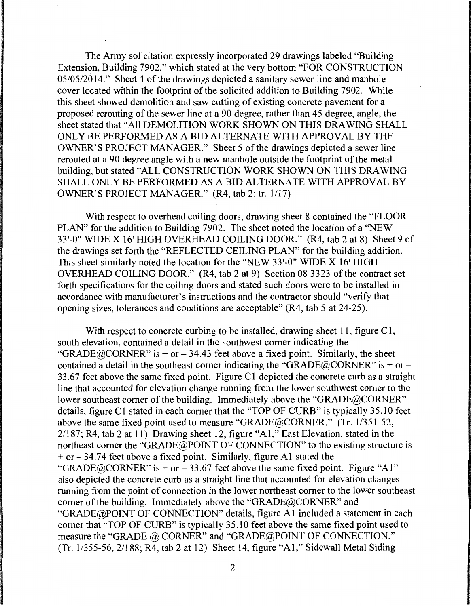The Army solicitation expressly incorporated 29 drawings labeled "Building Extension, Building 7902," which stated at the very bottom "FOR CONSTRUCTION 05/05/2014." Sheet 4 of the drawings depicted a sanitary sewer line and manhole cover located within the footprint of the solicited addition to Building 7902. While this sheet showed demolition and saw cutting of existing concrete pavement for a proposed rerouting of the sewer line at a 90 degree, rather than 45 degree, angle, the sheet stated that "All DEMOLITION WORK SHOWN ON THIS DRAWING SHALL ONLY BE PERFORMED AS A BID ALTERNATE WITH APPROVAL BY THE OWNER'S PROJECT MANAGER." Sheet 5 of the drawings depicted a sewer line rerouted at a 90 degree angle with a new manhole outside the footprint of the metal building, but stated "ALL CONSTRUCTION WORK SHOWN ON THIS DRAWING SHALL ONLY BE PERFORMED AS A BID ALTERNATE WITH APPROVAL BY OWNER'S PROJECT MANAGER." (R4, tab 2; tr. 1/17)

With respect to overhead coiling doors, drawing sheet 8 contained the "FLOOR PLAN" for the addition to Building 7902. The sheet noted the location of a "NEW 33'-0" WIDE X 16' HIGH OVERHEAD COILING DOOR." (R4, tab 2 at 8) Sheet 9 of the drawings set forth the "REFLECTED CEILING PLAN" for the building addition. This sheet similarly noted the location for the "NEW 33'-0" WIDE X 16' HIGH OVERHEAD COILING DOOR." (R4, tab 2 at 9) Section 08 3323 of the contract set forth specifications for the coiling doors and stated such doors were to be installed in accordance with manufacturer's instructions and the contractor should "verify that opening sizes, tolerances and conditions are acceptable" (R4, tab 5 at 24-25).

With respect to concrete curbing to be installed, drawing sheet 11, figure  $C1$ , south elevation, contained a detail in the southwest comer indicating the "GRADE@CORNER" is + or  $-34.43$  feet above a fixed point. Similarly, the sheet contained a detail in the southeast corner indicating the "GRADE@CORNER" is + or -33.67 feet above the same fixed point. Figure Cl depicted the concrete curb as a straight line that accounted for elevation change running from the lower southwest comer to the lower southeast corner of the building. Immediately above the "GRADE@CORNER" details, figure Cl stated in each comer that the "TOP OF CURB" is typically 35.10 feet above the same fixed point used to measure "GRADE@CORNER." (Tr. 1/351-52, 2/187; R4, tab 2 at 11) Drawing sheet 12, figure "Al," East Elevation, stated in the northeast comer the "GRADE@POINT OF CONNECTION" to the existing structure is  $+$  or  $-$  34.74 feet above a fixed point. Similarly, figure A1 stated the "GRADE@CORNER" is + or  $- 33.67$  feet above the same fixed point. Figure "Al" also depicted the concrete curb as a straight line that accounted for elevation changes running from the point of connection in the lower northeast comer to the lower southeast comer of the building. Immediately above the "GRADE@CORNER" and "GRADE@POINT OF CONNECTION" details, figure Al included a statement in each comer that "TOP OF CURB" is typically 35.10 feet above the same fixed point used to measure the "GRADE @ CORNER" and "GRADE@POINT OF CONNECTION." (Tr.  $1/355-56$ ,  $2/188$ ;  $R\overline{4}$ , tab 2 at 12) Sheet 14, figure "A1," Sidewall Metal Siding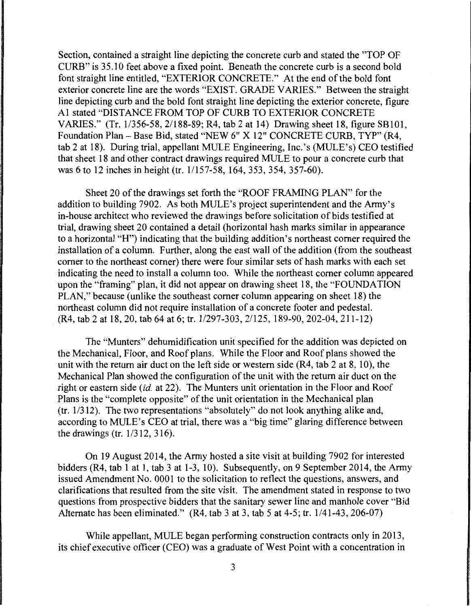Section, contained a straight line depicting the concrete curb and stated the "TOP OF CURB" is 35.10 feet above a fixed point. Beneath the concrete curb is a second bold font straight line entitled, "EXTERIOR CONCRETE." At the end of the bold font exterior concrete line are the words "EXIST. GRADE VARIES." Between the straight line depicting curb and the bold font straight line depicting the exterior concrete, figure Al stated "DISTANCE FROM TOP OF CURB TO EXTERIOR CONCRETE VARIES." (Tr. 1/356-58, 2/188-89; R4, tab 2 at 14) Drawing sheet 18, figure SBIOl, Foundation Plan -Base Bid, stated "NEW 6" X 12" CONCRETE CURB, TYP" (R4, tab 2 at 18). During trial, appellant MULE Engineering, Inc. 's (MULE's) CEO testified that sheet 18 and other contract drawings required MULE to pour a concrete curb that was 6 to 12 inches in height (tr. 1/157-58, 164, 353, 354, 357-60).

Sheet 20 of the drawings set forth the "ROOF FRAMING PLAN" for the addition to building 7902. As both MULE's project superintendent and the Army's in-house architect who reviewed the drawings before solicitation of bids testified at trial, drawing sheet 20 contained a detail (horizontal hash marks similar in appearance to a horizontal "H") indicating that the building addition's northeast comer required the installation of a column. Further, along the east wall of the addition (from the southeast comer to the northeast comer) there were four similar sets of hash marks with each set indicating the need to install a column too. While the northeast comer column appeared upon the "framing" plan, it did not appear on drawing sheet 18, the "FOUNDATION PLAN," because (unlike the southeast comer column appearing on sheet 18) the northeast column did not require installation of a concrete footer and pedestal. (R4, tab 2 at 18, 20, tab 64 at 6; tr. 1/297-303, 2/125, 189-90, 202-04, 211-12)

The "Munters" dehumidification unit specified for the addition was depicted on the Mechanical, Floor, and Roof plans. While the Floor and Roof plans showed the unit with the return air duct on the left side or western side (R4, tab 2 at 8, 10), the Mechanical Plan showed the configuration of the unit with the return air duct on the right or eastern side *(id.* at 22). The Munters unit orientation in the Floor and Roof Plans is the "complete opposite" of the unit orientation in the Mechanical plan (tr. 1/312). The two representations "absolutely" do not look anything alike and, according to MULE's CEO at trial, there was a "big time" glaring difference between the drawings (tr. 1/312, 316).

On 19 August 2014, the Army hosted a site visit at building 7902 for interested bidders (R4, tab 1 at 1, tab 3 at 1-3, 10). Subsequently, on 9 September 2014, the Army issued Amendment No. 0001 to the solicitation to reflect the questions, answers, and clarifications that resulted from the site visit. The amendment stated in response to two questions from prospective bidders that the sanitary sewer line and manhole cover "Bid Alternate has been eliminated." (R4, tab 3 at 3, tab 5 at 4-5; tr. 1/41-43, 206-07)

While appellant, MULE began performing construction contracts only in 2013, its chief executive officer (CEO) was a graduate of West Point with a concentration in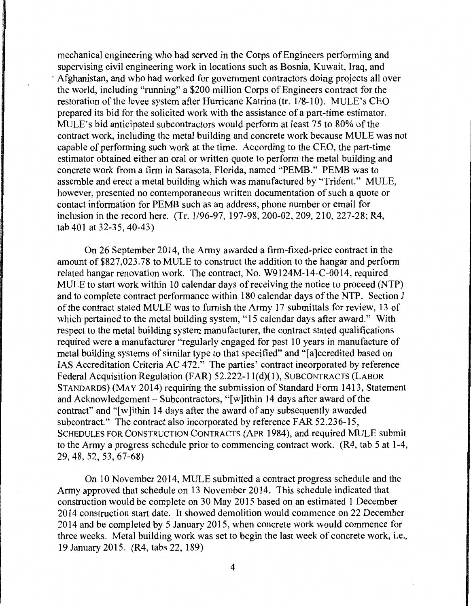mechanical engineering who had served in the Corps of Engineers performing and supervising civil engineering work in locations such as Bosnia, Kuwait, Iraq, and · Afghanistan, and who had worked for government contractors doing projects all over the world, including "running" a \$200 million Corps of Engineers contract for the restoration of the levee system after Hurricane Katrina (tr. 1/8-10). MULE's CEO prepared its bid for the solicited work with the assistance of a part-time estimator. MULE's bid anticipated subcontractors would perform at least 75 to 80% of the contract work, including the metal building and concrete work because MULE was not capable of performing such work at the time. According to the CEO, the part-time estimator obtained either an oral or written quote to perform the metal building and concrete work from a firm in Sarasota, Florida, named "PEMB." PEMB was to assemble and erect a metal building which was manufactured by "Trident." MULE, however, presented no contemporaneous written documentation of such a quote or contact information for PEMB such as an address, phone number or email for inclusion in the record here. (Tr. 1196-97, 197-98, 200-02, 209, 210, 227-28; R4, tab 401 at 32-35, 40-43)

On 26 September 2014, the Army awarded a firm-fixed-price contract in the amount of \$827,023.78 to MULE to construct the addition to the hangar and perform related hangar renovation work. The contract, No. W9124M-14-C-0014, required MULE to start work within 10 calendar days of receiving the notice to proceed (NTP) and to complete contract performance within 180 calendar days of the NTP. Section J of the contract stated MULE was to furnish the Army 17 submittals for review, 13 of which pertained to the metal building system, "15 calendar days after award." With respect to the metal building system manufacturer, the contract stated qualifications required were a manufacturer "regularly engaged for past 10 years in manufacture of metal building systems of similar type to that specified" and "[a]ccredited based on IAS Accreditation Criteria AC 472." The parties' contract incorporated by reference Federal Acquisition Regulation (FAR) 52.222-1 l(d)(l), SUBCONTRACTS (LABOR STANDARDS) (MAY 2014) requiring the submission of Standard Form 1413, Statement and Acknowledgement  $-$  Subcontractors, "[w]ithin 14 days after award of the contract" and "[w]ithin 14 days after the award of any subsequently awarded subcontract." The contract also incorporated by reference FAR 52.236-15, SCHEDULES FOR CONSTRUCTION CONTRACTS (APR 1984), and required MULE submit to the Army a progress schedule prior to commencing contract work. (R4, tab 5 at 1-4, 29,48,52, 53,67-68)

On 10 November 2014, MULE submitted a contract progress schedule and the Army approved that schedule on 13 November 2014. This schedule indicated that construction would be complete on 30 May 2015 based on an estimated 1 December 2014 construction start date. It showed demolition would commence on 22 December 2014 and be completed by 5 January 2015, when concrete work would commence for three weeks. Metal building work was set to begin the last week of concrete work, i.e., 19 January 2015. (R4, tabs 22, 189)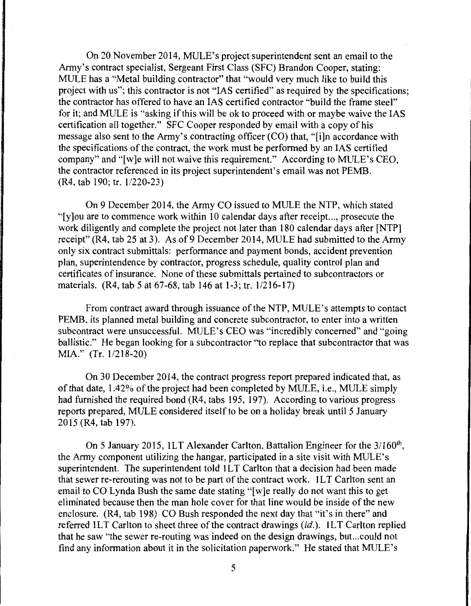On 20 November 2014, MULE's project superintendent sent an email to the Army's contract specialist, Sergeant First Class (SFC) Brandon Cooper, stating: MULE has a "Metal building contractor" that "would very much like to build this project with us"; this contractor is not "IAS certified" as required by the specifications; the contractor has offered to have an IAS certified contractor "build the frame steel" for it; and MULE is "asking if this will be ok to proceed with or maybe waive the IAS certification all together." SFC Cooper responded by email with a copy of his message also sent to the Army's contracting officer (CO) that, "[i]n accordance with the specifications of the contract, the work must be performed by an IAS certified company" and "[w]e will not waive this requirement." According to MULE's CEO, the contractor referenced in its project superintendent's email was not PEMB. (R4, tab 190; tr. 1/220-23)

On 9 December 2014, the Army CO issued to MULE the NTP, which stated " $[y]$  ou are to commence work within 10 calendar days after receipt..., prosecute the work diligently and complete the project not later than 180 calendar days after [NTP] receipt" (R4, tab 25 at 3). As of 9 December 2014, MULE had submitted to the Army only six contract submittals: performance and payment bonds, accident prevention plan, superintendence by contractor, progress schedule, quality control plan and certificates of insurance. None of these submittals pertained to subcontractors or materials. (R4, tab 5 at 67-68, tab 146 at 1-3; tr. 1/216-17)

From contract award through issuance of the NTP, MULE's attempts to contact PEMB, its planned metal building and concrete subcontractor, to enter into a written subcontract were unsuccessful. MULE's CEO was "incredibly concerned" and "going ballistic." He began looking for a subcontractor "to replace that subcontractor that was MIA." (Tr. l/2I8-20)

On 30 December 2014, the contract progress report prepared indicated that, as of that date, 1.42% of the project had been completed by MULE, i.e., MULE simply had furnished the required bond (R4, tabs 195, 197). According to various progress reports prepared, MULE considered itself to be on a holiday break until 5 January  $2015$  (R4, tab 197).

On 5 January 2015, ILT Alexander Carlton, Battalion Engineer for the 3/160<sup>th</sup>, the Army component utilizing the hangar, participated in a site visit with MULE's superintendent. The superintendent told 1LT Carlton that a decision had been made that sewer re-rerouting was not to be part of the contract work. ILT Carlton sent an email to CO Lynda Bush the same date stating "[w]e really do not want this to get eliminated because then the man hole cover for that line would be inside of the new enclosure. (R4, tab 198) CO Bush responded the next day that "it's in there" and referred ILT Carlton to sheet three of the contract drawings *(id.).* ILT Carlton replied that he saw "the sewer re-routing was indeed on the design drawings, but. .. could not find any information about it in the solicitation paperwork." He stated that MULE's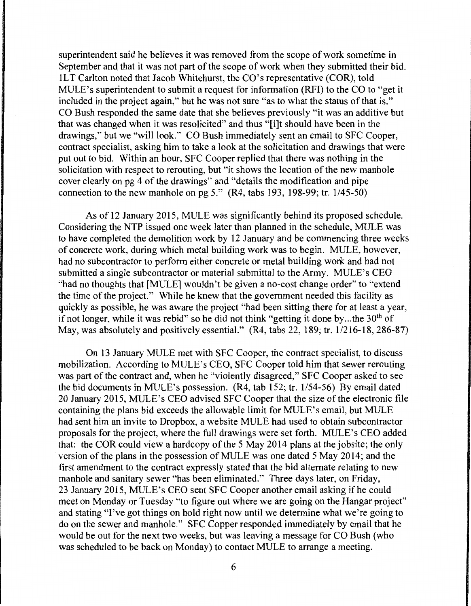superintendent said he believes it was removed from the scope of work sometime in September and that it was not part of the scope of work when they submitted their bid. lLT Carlton noted that Jacob Whitehurst, the CO's representative (COR), told MULE's superintendent to submit a request for information (RFI) to the CO to "get it included in the project again," but he was not sure "as to what the status of that is." CO Bush responded the same date that she believes previously "it was an additive but that was changed when it was resolicited" and thus "[i]t should have been in the drawings," but we "will look." CO Bush immediately sent an email to SFC Cooper, contract specialist, asking him to take a look at the solicitation and drawings that were put out to bid. Within an hour, SFC Cooper replied that there was nothing in the solicitation with respect to rerouting, but "it shows the location of the new manhole cover clearly on pg 4 of the drawings" and "details the modification and pipe connection to the new manhole on pg 5."  $(R4, tabs 193, 198-99; tr. 1/45-50)$ 

As of 12 January 2015, MULE was significantly behind its proposed schedule. Considering the NTP issued one week later than planned in the schedule, MULE was to have completed the demolition work by 12 January and be commencing three weeks of concrete work, during which metal building work was to begin. MULE, however, had no subcontractor to perform either concrete or metal building work and had not submitted a single subcontractor or material submittal to the Army. MULE's CEO "had no thoughts that [MULE] wouldn't be given a no-cost change order" to "extend the time of the project." While he knew that the government needed this facility as quickly as possible, he was aware the project "had been sitting there for at least a year, if not longer, while it was rebid" so he did not think "getting it done by... the  $30<sup>th</sup>$  of May, was absolutely and positively essential." (R4, tabs 22, 189; tr. 1/216-18, 286-87)

On 13 January MULE met with SFC Cooper, the contract specialist, to discuss mobilization. According to MULE's CEO, SFC Cooper told him that sewer rerouting was part of the contract and, when he "violently disagreed," SFC Cooper asked to see the bid documents in MULE's possession. (R4, tab 152; tr. 1/54-56) By email dated 20 January 2015, MULE's CEO advised SFC Cooper that the size of the electronic file containing the plans bid exceeds the allowable limit for MULE's email, but MULE had sent him an invite to Dropbox, a website MULE had used to obtain subcontractor proposals for the project, where the full drawings were set forth. MULE's CEO added that: the COR could view a hardcopy of the 5 May 2014 plans at the jobsite; the only version of the plans in the possession of MULE was one dated 5 May 2014; and the first amendment to the contract expressly stated that the bid alternate relating to new manhole and sanitary sewer "has been eliminated." Three days later, on Friday, 23 January 2015, MULE's CEO sent SFC Cooper another email asking ifhe could meet on Monday or Tuesday "to figure out where we are going on the Hangar project" and stating "I've got things on hold right now until we determine what we're going to do on the sewer and manhole." SFC Copper responded immediately by email that he would be out for the next two weeks, but was leaving a message for CO Bush (who was scheduled to be back on Monday) to contact MULE to arrange a meeting.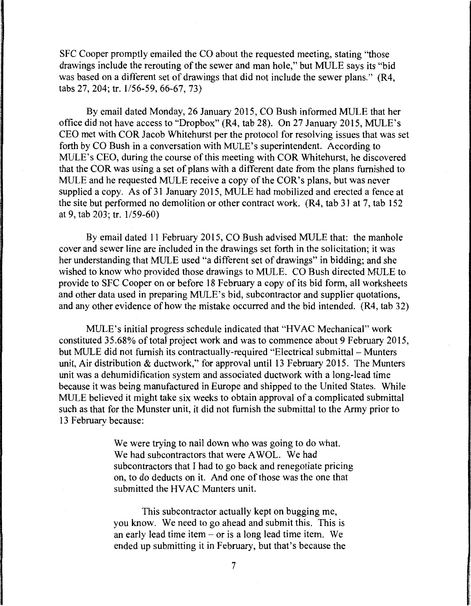SFC Cooper promptly emailed the CO about the requested meeting, stating "those drawings include the rerouting of the sewer and man hole," but MULE says its "bid was based on a different set of drawings that did not include the sewer plans." (R4, tabs 27, 204; tr. 1/56-59, 66-67, 73)

By email dated Monday, 26 January 2015, CO Bush informed MULE that her office did not have access to "Dropbox" (R4, tab 28). On 27 January 2015, MULE's CEO met with COR Jacob Whitehurst per the protocol for resolving issues that was set forth by CO Bush in a conversation with MULE's superintendent. According to MULE's CEO, during the course of this meeting with COR Whitehurst, he discovered that the COR was using a set of plans with a different date from the plans furnished to MULE and he requested MULE receive a copy of the COR's plans, but was never supplied a copy. As of 31 January 2015, MULE had mobilized and erected a fence at the site but performed no demolition or other contract work. (R4, tab 31 at 7, tab 152 at 9, tab 203; tr. 1/59-60)

By email dated 11 February 2015, CO Bush advised MULE that: the manhole cover and sewer line are included in the drawings set forth in the solicitation; it was her understanding that MULE used "a different set of drawings" in bidding; and she wished to know who provided those drawings to MULE. CO Bush directed MULE to provide to SFC Cooper on or before 18 February a copy of its bid form, all worksheets and other data used in preparing MULE's bid, subcontractor and supplier quotations, and any other evidence of how the mistake occurred and the bid intended. (R4, tab 32)

MULE's initial progress schedule indicated that "HVAC Mechanical" work constituted 35.68% of total project work and was to commence about 9 February 2015, but MULE did not furnish its contractually-required "Electrical submittal – Munters" unit, Air distribution & ductwork," for approval until 13 February 2015. The Munters unit was a dehumidification system and associated ductwork with a long-lead time because it was being manufactured in Europe and shipped to the United States. While MULE believed it might take six weeks to obtain approval of a complicated submittal such as that for the Munster unit, it did not furnish the submittal to the Army prior to 13 February because:

> We were trying to nail down who was going to do what. We had subcontractors that were AWOL. We had subcontractors that I had to go back and renegotiate pricing on, to do deducts on it. And one of those was the one that submitted the HVAC Munters unit.

This subcontractor actually kept on bugging me, you know. We need to go ahead and submit this. This is an early lead time item  $-$  or is a long lead time item. We ended up submitting it in February, but that's because the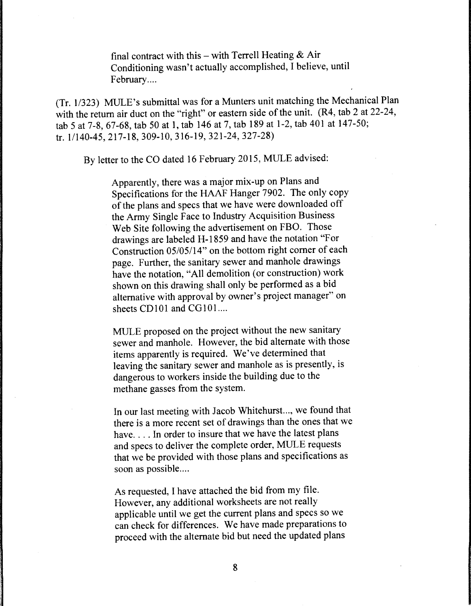final contract with this - with Terrell Heating  $\&$  Air Conditioning wasn't actually accomplished, I believe, until February....

(Tr. 1/323) MULE's submittal was for a Munters unit matching the Mechanical Plan with the return air duct on the "right" or eastern side of the unit. (R4, tab 2 at 22-24, tab 5 at 7-8, 67-68, tab 50 at 1, tab 146 at 7, tab 189 at 1-2, tab 401 at 147-50; tr. 1/140-45, 217-18, 309-10, 316-19, 321-24, 327-28)

By letter to the CO dated 16 February 2015, MULE advised:

Apparently, there was a major mix-up on Plans and Specifications for the HAAF Hanger 7902. The only copy of the plans and specs that we have were downloaded off the Army Single Face to Industry Acquisition Business Web Site following the advertisement on FBO. Those drawings are labeled H-1859 and have the notation "For Construction 05/05/14" on the bottom right corner of each page. Further, the sanitary sewer and manhole drawings have the notation, "All demolition (or construction) work shown on this drawing shall only be performed as a bid alternative with approval by owner's project manager" on sheets  $CD101$  and  $CG101$ ....

MULE proposed on the project without the new sanitary sewer and manhole. However, the bid alternate with those items apparently is required. We've determined that leaving the sanitary sewer and manhole as is presently, is dangerous to workers inside the building due to the methane gasses from the system.

In our last meeting with Jacob Whitehurst..., we found that there is a more recent set of drawings than the ones that we have.... In order to insure that we have the latest plans and specs to deliver the complete order, MULE requests that we be provided with those plans and specifications as soon as possible....

As requested, I have attached the bid from my file. However, any additional worksheets are not really applicable until we get the current plans and specs so we can check for differences. We have made preparations to proceed with the alternate bid but need the updated plans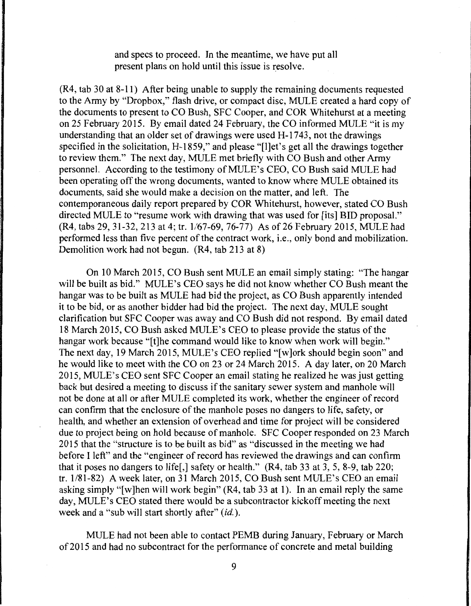and specs to proceed. In the meantime, we have put all present plans on hold until this issue is resolve.

(R4, tab 30 at 8-11) After being unable to supply the remaining documents requested to the Army by "Dropbox," flash drive, or compact disc, MULE created a hard copy of the documents to present to CO Bush, SFC Cooper, and COR Whitehurst at a meeting on 25 February 2015. By email dated 24 February, the CO informed MULE "it is my understanding that an older set of drawings were used H-1743, not the drawings specified in the solicitation, H-1859," and please "[l]et's get all the drawings together to review them." The next day, MULE met briefly with CO Bush and other Army personnel. According to the testimony of MULE's CEO, CO Bush said MULE had been operating off the wrong documents, wanted to know where MULE obtained its documents, said she would make a decision on the matter, and left. The contemporaneous daily report prepared by COR Whitehurst, however, stated CO Bush directed MULE to "resume work with drawing that was used for [its] BID proposal." (R4, tabs 29, 31-32, 213 at 4; tr. 1/67-69, 76-77) As of26 February 2015, MULE had performed less than five percent of the contract work, i.e., only bond and mobilization. Demolition work had not begun. (R4, tab 213 at 8)

On 10 March 2015, CO Bush sent MULE an email simply stating: "The hangar will be built as bid." MULE's CEO says he did not know whether CO Bush meant the hangar was to be built as MULE had bid the project, as CO Bush apparently intended it to be bid, or as another bidder had bid the project. The next day, MULE sought clarification but SFC Cooper was away and CO Bush did not respond. By email dated 18 March 2015, CO Bush asked MULE's CEO to please provide the status of the hangar work because "[t]he command would like to know when work will begin." The next day, 19 March 2015, MULE's CEO replied "[w]ork should begin soon" and he would like to meet with the CO on 23 or 24 March 2015. A day later, on 20 March 2015, MULE's CEO sent SFC Cooper an email stating he realized he was just getting back but desired a meeting to discuss if the sanitary sewer system and manhole will not be done at all or after MULE completed its work, whether the engineer of record can confirm that the enclosure of the manhole poses no dangers to life, safety, or health, and whether an extension of overhead and time for project will be considered due to project being on hold because of manhole. SFC Cooper responded on 23 March 2015 that the "structure is to be built as bid" as "discussed in the meeting we had before I left" and the "engineer of record has reviewed the drawings and can confirm that it poses no dangers to life[,] safety or health." (R4, tab 33 at 3, 5, 8-9, tab 220; tr. 1/81-82) A week later, on 31 March 2015, CO Bush sent MULE's CEO an email asking simply "[w]hen will work begin" (R4, tab 33 at 1). In an email reply the same day, MULE's CEO stated there would be a subcontractor kickoff meeting the next week and a "sub will start shortly after" *(id.).* 

MULE had not been able to contact PEMB during January, February or March of 2015 and had no subcontract for the performance of concrete and metal building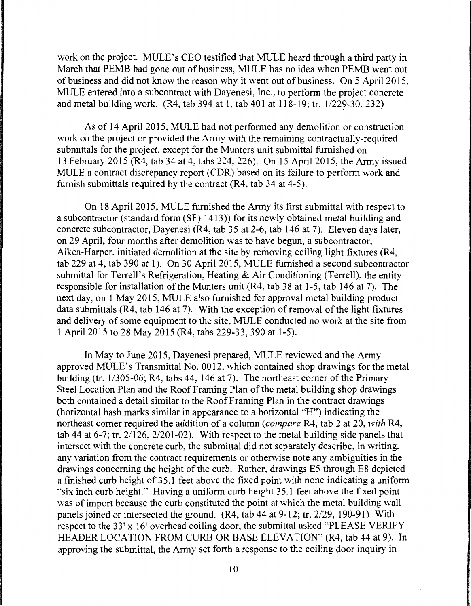work on the project. MULE's CEO testified that MULE heard through a third party in March that PEMB had gone out of business, MULE has no idea when PEMB went out of business and did not know the reason why it went out of business. On 5 April 2015, MULE entered into a subcontract with Dayenesi, Inc., to perform the project concrete and metal building work. (R4, tab 394 at 1, tab 401 at  $118-19$ ; tr.  $1/229-30$ , 232)

As of 14 April 2015, MULE had not performed any demolition or construction \Vork on the project or provided the Army with the remaining contractually-required submittals for the project, except for the Munters unit submittal furnished on 13 February 2015 (R4, tab 34 at 4, tabs 224, 226). On 15 April 2015, the Army issued MULE a contract discrepancy report (CDR) based on its failure to perform work and furnish submittals required by the contract (R4, tab 34 at 4-5).

On 18 April 2015, MULE furnished the Army its first submittal with respect to a subcontractor (standard form (SF) 1413)) for its newly obtained metal building and concrete subcontractor, Dayenesi (R4, tab 35 at 2-6, tab 146 at 7). Eleven days later, on 29 April, four months after demolition was to have begun, a subcontractor, Aiken-Harper, initiated demolition at the site by removing ceiling light fixtures (R4, tab 229 at 4, tab 390 at 1). On 30 April 2015, MULE furnished a second subcontractor submittal for Terrell's Refrigeration, Heating & Air Conditioning (Terrell), the entity responsible for installation of the Munters unit (R4, tab 38 at 1-5, tab 146 at 7). The next day, on 1 May 2015, MULE also furnished for approval metal building product data submittals (R4, tab 146 at 7). With the exception of removal of the light fixtures and delivery of some equipment to the site, MULE conducted no work at the site from 1 April 2015 to 28 May 2015 (R4, tabs 229-33, 390 at 1-5).

In May to June 2015, Dayenesi prepared, MULE reviewed and the Army approved MULE's Transmittal No. 0012, which contained shop drawings for the metal building (tr. 1/305-06; R4, tabs 44, 146 at 7). The northeast comer of the Primary Steel Location Plan and the Roof Framing Plan of the metal building shop drawings both contained a detail similar to the Roof Framing Plan in the contract drawings (horizontal hash marks similar in appearance to a horizontal "H") indicating the northeast comer required the addition of a column *(compare* R4, tab 2 at 20, *with* R4, tab 44 at 6-7; tr. 2/126, 2/201-02). With respect to the metal building side panels that intersect with the concrete curb, the submittal did not separately describe, in writing, any variation from the contract requirements or otherwise note any ambiguities in the drawings concerning the height of the curb. Rather, drawings ES through E8 depicted a finished curb height of 35.1 feet above the fixed point with none indicating a uniform "six inch curb height." Having a uniform curb height 35.1 feet above the fixed point was of import because the curb constituted the point at which the metal building wall panels joined or intersected the ground. (R4, tab 44 at 9-12; tr. 2/29, 190-91) With respect to the 33' x 16' overhead coiling door, the submittal asked "PLEASE VERIFY HEADER LOCATION FROM CURB OR BASE ELEVATION" (R4, tab 44 at 9). In approving the submittal, the Army set forth a response to the coiling door inquiry in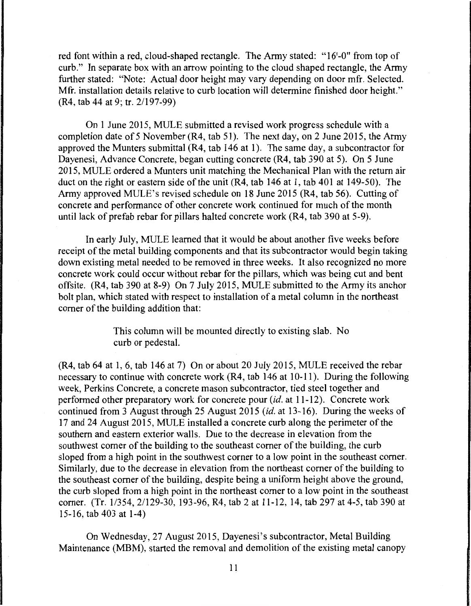red font within a red, cloud-shaped rectangle. The Army stated: "16'-0" from top of curb." In separate box with an arrow pointing to the cloud shaped rectangle, the Army further stated: "Note: Actual door height may vary depending on door mfr. Selected. Mfr. installation details relative to curb location will determine finished door height." (R4, tab 44 at 9; tr. 21197-99)

On 1 June 2015, MULE submitted a revised work progress schedule with a completion date of 5 November (R4, tab 51). The next day, on 2 June 2015, the Army approved the Munters submittal (R4, tab 146 at 1). The same day, a subcontractor for Dayenesi, Advance Concrete, began cutting concrete (R4, tab 390 at 5). On 5 June 2015, MULE ordered a Munters unit matching the Mechanical Plan with the return air duct on the right or eastern side of the unit (R4, tab 146 at 1, tab 401 at 149-50). The Army approved MULE's revised schedule on 18 June 2015 (R4, tab 56). Cutting of concrete and performance of other concrete work continued for much of the month until lack of prefab rebar for pillars halted concrete work (R4, tab 390 at 5-9).

In early July, MULE learned that it would be about another five weeks before receipt of the metal building components and that its subcontractor would begin taking down existing metal needed to be removed in three weeks. It also recognized no more concrete work could occur without rebar for the pillars, which was being cut and bent offsite. (R4, tab 390 at 8-9) On 7 July 2015, MULE submitted to the Army its anchor bolt plan, which stated with respect to installation of a metal column in the northeast comer of the building addition that:

> This column will be mounted directly to existing slab. No curb or pedestal.

(R4, tab 64 at 1, 6, tab 146 at 7) On or about 20 July 2015, MULE received the rebar necessary to continue with concrete work (R4, tab 146 at 10-11 ). During the following week, Perkins Concrete, a concrete mason subcontractor, tied steel together and performed other preparatory work for concrete pour *(id.* at 11-12). Concrete work continued from 3 August through 25 August 2015 *(id.* at 13-16). During the weeks of 17 and 24 August 2015, MULE installed a concrete curb along the perimeter of the southern and eastern exterior walls. Due to the decrease in elevation from the southwest comer of the building to the southeast comer of the building, the curb sloped from a high point in the southwest corner to a low point in the southeast comer. Similarly, due to the decrease in elevation from the northeast corner of the building to the southeast comer of the building, despite being a uniform height above the ground, the curb sloped from a high point in the northeast comer to a low point in the southeast comer. (Tr. 11354, 21129-30, 193-96, R4, tab 2 at 11-12, 14, tab 297 at 4-5, tab 390 at 15-16, tab 403 at 1-4)

On Wednesday, 27 August 2015, Dayenesi's subcontractor, Metal Building Maintenance (MBM), started the removal and demolition of the existing metal canopy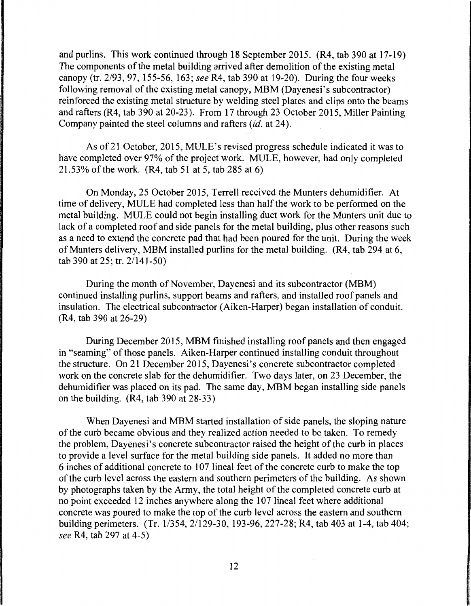and purlins. This work continued through 18 September 2015. (R4, tab 390 at 17-19) The components of the metal building arrived after demolition of the existing metal canopy (tr. 2/93, 97, 155-56, 163; *see* R4, tab 390 at 19-20). During the four weeks following removal of the existing metal canopy, MBM (Dayenesi's subcontractor) reinforced the existing metal structure by welding steel plates and clips onto the beams and rafters (R4, tab 390 at 20-23). From 17 through 23 October 2015, Miller Painting Company painted the steel columns and rafters *(id.* at 24).

As of21 October, 2015, MULE's revised progress schedule indicated it was to have completed over 97% of the project work. MULE, however, had only completed 21.53% of the work. (R4, tab 51 at 5, tab 285 at 6)

On Monday, 25 October 2015, Terrell received the Munters dehumidifier. At time of delivery, MULE had completed less than half the work to be performed on the metal building. MULE could not begin installing duct work for the Munters unit due to lack of a completed roof and side panels for the metal building, plus other reasons such as a need to extend the concrete pad that had been poured for the unit. During the week of Munters delivery, MBM installed purlins for the metal building. (R4, tab 294 at 6, tab 390 at 25; tr. 2/141-50)

During the month of November, Dayenesi and its subcontractor (MBM) continued installing purlins, support beams and rafters, and installed roof panels and insulation. The electrical subcontractor (Aiken-Harper) began installation of conduit. (R4, tab 390 at 26-29)

During December 2015, MBM finished installing roof panels and then engaged in "seaming" of those panels. Aiken-Harper continued installing conduit throughout the structure. On 21 December 2015, Dayenesi's concrete subcontractor completed work on the concrete slab for the dehumidifier. Two days later, on 23 December, the dehumidifier was placed on its pad. The same day, MBM began installing side panels on the building. (R4, tab 390 at 28-33)

When Dayenesi and MBM started installation of side panels, the sloping nature of the curb became obvious and they realized action needed to be taken. To remedy the problem, Dayenesi's concrete subcontractor raised the height of the curb in places to provide a level surface for the metal building side panels. It added no more than 6 inches of additional concrete to 107 lineal feet of the concrete curb to make the top of the curb level across the eastern and southern perimeters of the building. As shown by photographs taken by the Army, the total height of the completed concrete curb at no point exceeded 12 inches anywhere along the 107 lineal feet where additional concrete was poured to make the top of the curb level across the eastern and southern building perimeters. (Tr. 11354, 2/129-30, 193-96, 227-28; R4, tab 403 at 1-4, tab 404; *see* R4, tab 297 at 4-5)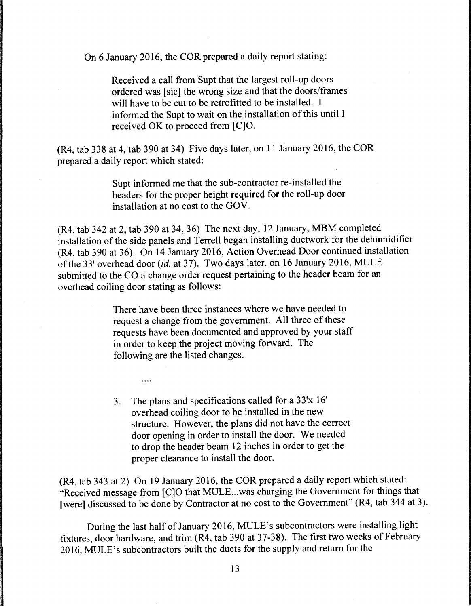On 6 January 2016, the COR prepared a daily report stating:

Received a call from Supt that the largest roll-up doors ordered was [sic] the wrong size and that the doors/frames will have to be cut to be retrofitted to be installed. I informed the Supt to wait on the installation of this until I received OK to proceed from [C]O.

(R4, tab 338 at 4, tab 390 at 34) Five days later, on 11 January 2016, the COR prepared a daily report which stated:

> Supt informed me that the sub-contractor re-installed the headers for the proper height required for the roll-up door installation at no cost to the GOV.

(R4, tab 342 at 2, tab 390 at 34, 36) The next day, 12 January, MBM completed installation of the side panels and Terrell began installing ductwork for the dehumidifier (R4, tab 390 at 36). On 14 January 2016, Action Overhead Door continued installation of the 33' overhead door *(id.* at 37). Two days later, on 16 January 2016, MULE submitted to the CO a change order request pertaining to the header beam for an overhead coiling door stating as follows:

> There have been three instances where we have needed to request a change from the government. All three of these requests have been documented and approved by your staff in order to keep the project moving forward. The following are the listed changes.

3. The plans and specifications called for a 33'x 16' overhead coiling door to be installed in the new structure. However, the plans did not have the correct door opening in order to install the door. We needed to drop the header beam 12 inches in order to get the proper clearance to install the door.

 $\ldots$ 

(R4, tab 343 at 2) On 19 January 2016, the COR prepared a daily report which stated: "Received message from [C]O that MULE ... was charging the Government for things that [were] discussed to be done by Contractor at no cost to the Government" (R4, tab 344 at 3).

During the last half of January 2016, MULE's subcontractors were installing light fixtures, door hardware, and trim (R4, tab 390 at 37-38). The first two weeks of February 2016, MULE's subcontractors built the ducts for the supply and return for the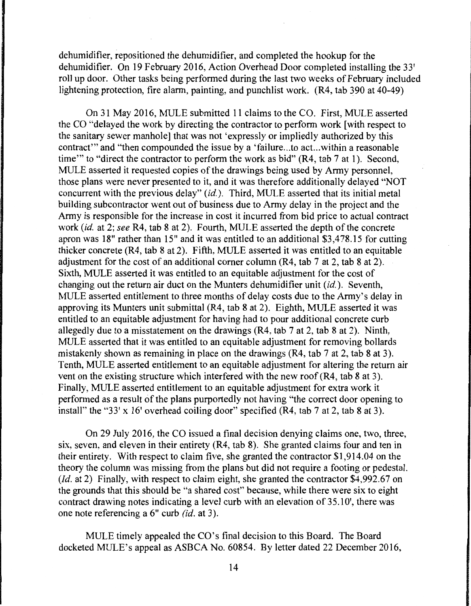dehumidifier, repositioned the dehumidifier, and completed the hookup for the dehumidifier. On 19 February 2016, Action Overhead Door completed installing the 33' roll up door. Other tasks being performed during the last two weeks of February included lightening protection, fire alarm, painting, and punchlist work. (R4, tab 390 at 40-49)

On 31 May 2016, MULE submitted 11 claims to the CO. First, MULE asserted the CO "delayed the work by directing the contractor to perform work [with respect to the sanitary sewer manhole] that was not 'expressly or impliedly authorized by this contract"' and "then compounded the issue by a 'failure ... to act...within a reasonable time" to "direct the contractor to perform the work as bid" (R4, tab 7 at 1). Second, MULE asserted it requested copies of the drawings being used by Army personnel, those plans were never presented to it, and it was therefore additionally delayed "NOT concurrent with the previous delay" *(id.).* Third, MULE asserted that its initial metal building subcontractor went out of business due to Army delay in the project and the Army is responsible for the increase in cost it incurred from bid price to actual contract work *(id.* at 2; *see* R4, tab 8 at 2). Fourth, MULE asserted the depth of the concrete apron was 18" rather than 15" and it was entitled to an additional \$3,478.15 for cutting thicker concrete (R4, tab 8 at 2). Fifth, MULE asserted it was entitled to an equitable adjustment for the cost of an additional comer column (R4, tab 7 at 2, tab 8 at 2). Sixth, MULE asserted it was entitled to an equitable adjustment for the cost of changing out the return air duct on the Munters dehumidifier unit *(id.).* Seventh, MULE asserted entitlement to three months of delay costs due to the Army's delay in approving its Munters unit submittal (R4, tab 8 at 2). Eighth, MULE asserted it was entitled to an equitable adjustment for having had to pour additional concrete curb allegedly due to a misstatement on the drawings (R4, tab 7 at 2, tab 8 at 2). Ninth, MULE asserted that it was entitled to an equitable adjustment for removing bollards mistakenly shown as remaining in place on the drawings (R4, tab 7 at 2, tab 8 at 3). Tenth, MULE asserted entitlement to an equitable adjustment for altering the return air vent on the existing structure which interfered with the new roof (R4, tab 8 at 3). Finally, MULE asserted entitlement to an equitable adjustment for extra work it performed as a result of the plans purportedly not having "the correct door opening to install" the "33' x 16' overhead coiling door" specified  $(R4, tab 7 at 2, tab 8 at 3)$ .

On 29 July 2016, the CO issued a final decision denying claims one, two, three, six, seven, and eleven in their entirety (R4, tab 8). She granted claims four and ten in their entirety. With respect to claim five, she granted the contractor \$1,914.04 on the theory the column was missing from the plans but did not require a footing or pedestal. *(Id. at 2)* Finally, with respect to claim eight, she granted the contractor \$4,992.67 on the grounds that this should be "a shared cost" because, while there were six to eight contract drawing notes indicating a level curb with an elevation of 35.10', there was one note referencing a 6" curb (id. at 3).

MULE timely appealed the CO's final decision to this Board. The Board docketed MULE's appeal as ASBCA No. 60854. By letter dated 22 December 2016,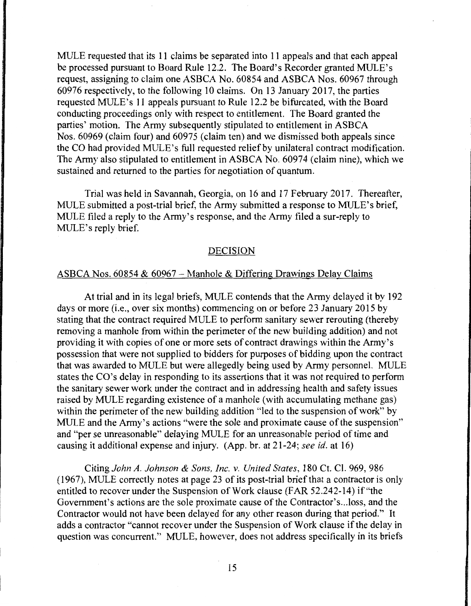MULE requested that its 11 claims be separated into 11 appeals and that each appeal be processed pursuant to Board Rule 12.2. The Board's Recorder granted MULE's request, assigning to claim one ASBCA No. 60854 and ASBCA Nos. 60967 through 60976 respectively, to the following 10 claims. On 13 January 2017, the parties requested MULE's 11 appeals pursuant to Rule 12.2 be bifurcated, with the Board conducting proceedings only with respect to entitlement. The Board granted the parties' motion. The Army subsequently stipulated to entitlement in ASBCA Nos. 60969 (claim four) and 60975 (claim ten) and we dismissed both appeals since the CO had provided MULE's full requested relief by unilateral contract modification. The Army also stipulated to entitlement in ASBCA No. 60974 (claim nine), which we sustained and returned to the parties for negotiation of quantum.

Trial was held in Savannah, Georgia, on 16 and 17 February 2017. Thereafter, MULE submitted a post-trial brief, the Army submitted a response to MULE's brief, MULE filed a reply to the Army's response, and the Army filed a sur-reply to MULE's reply brief.

## DECISION

#### ASBCA Nos.  $60854 \& 60967 -$  Manhole  $\&$  Differing Drawings Delay Claims

At trial and in its legal briefs, MULE contends that the Army delayed it by 192 days or more (i.e., over six months) commencing on or before 23 January 2015 by stating that the contract required MULE to perform sanitary sewer rerouting (thereby removing a manhole from within the perimeter of the new building addition) and not providing it with copies of one or more sets of contract drawings within the Army's possession that were not supplied to bidders for purposes of bidding upon the contract that was awarded to MULE but were allegedly being used by Army personnel. MULE states the CO's delay in responding to its assertions that it was not required to perform the sanitary sewer work under the contract and in addressing health and safety issues raised by MULE regarding existence of a manhole (with accumulating methane gas) within the perimeter of the new building addition "led to the suspension of work" by MULE and the Army's actions "were the sole and proximate cause of the suspension" and "per se unreasonable" delaying MULE for an unreasonable period of time and causing it additional expense and injury. (App. br. at 21-24; *see id.* at 16)

Citing *John A. Johnson* & *Sons, Inc. v. United States,* 180 Ct. Cl. 969, 986 (1967), MULE correctly notes at page 23 of its post-trial brief that a contractor is only entitled to recover under the Suspension of Work clause (FAR 52.242-14) if"the Government's actions are the sole proximate cause of the Contractor's .. .loss, and the Contractor would not have been delayed for any other reason during that period." It adds a contractor "cannot recover under the Suspension of Work clause if the delay in question was concurrent." MULE, however, does not address specifically in its briefs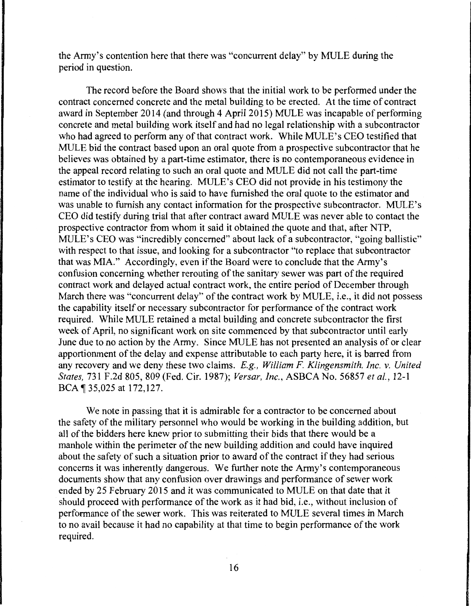the Army's contention here that there was "concurrent delay" by MULE during the period in question.

The record before the Board shows that the initial work to be performed under the contract concerned concrete and the metal building to be erected. At the time of contract award in September 2014 (and through 4 April 2015) MULE was incapable of performing concrete and metal building work itself and had no legal relationship with a subcontractor who had agreed to perform any of that contract work. While MULE's CEO testified that MULE bid the contract based upon an oral quote from a prospective subcontractor that he believes was obtained by a part-time estimator, there is no contemporaneous evidence in the appeal record relating to such an oral quote and MULE did not call the part-time estimator to testify at the hearing. MULE's CEO did not provide in his testimony the name of the individual who is said to have furnished the oral quote to the estimator and was unable to furnish any contact information for the prospective subcontractor. MULE's CEO did testify during trial that after contract award MULE was never able to contact the prospective contractor from whom it said it obtained the quote and that, after NTP, MULE's CEO was "incredibly concerned" about lack of a subcontractor, "going ballistic" with respect to that issue, and looking for a subcontractor "to replace that subcontractor that was MIA." Accordingly, even if the Board were to conclude that the Army's confusion concerning whether rerouting of the sanitary sewer was part of the required contract work and delayed actual contract work, the entire period of December through March there was "concurrent delay" of the contract work by MULE, i.e., it did not possess the capability itself or necessary subcontractor for performance of the contract work required. While MULE retained a metal building and concrete subcontractor the first week of April, no significant work on site commenced by that subcontractor until early June due to no action by the Army. Since MULE has not presented an analysis of or clear apportionment of the delay and expense attributable to each party here, it is barred from any recovery and we deny these two claims. *E.g., William F. Klingensmith, Inc. v. United States,* 731F.2d805, 809 (Fed. Cir. 1987); *Versar, Inc.,* ASBCA No. 56857 *etal.,* 12-1 BCA ¶ 35,025 at 172,127.

We note in passing that it is admirable for a contractor to be concerned about the safety of the military personnel who would be working in the building addition, but all of the bidders here knew prior to submitting their bids that there would be a manhole within the perimeter of the new building addition and could have inquired about the safety of such a situation prior to award of the contract if they had serious concerns it was inherently dangerous. We further note the Army's contemporaneous documents show that any confusion over drawings and performance of sewer work ended by 25 February 2015 and it was communicated to MULE on that date that it should proceed with performance of the work as it had bid, i.e., without inclusion of performance of the sewer work. This was reiterated to MULE several times in March to no avail because it had no capability at that time to begin performance of the work required.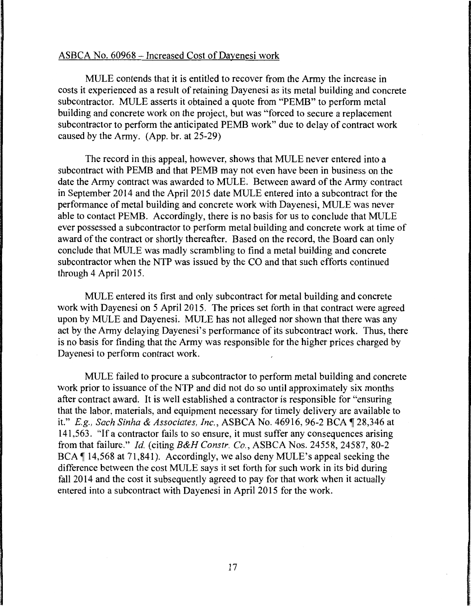# ASBCA No. 60968 - Increased Cost of Dayenesi work

MULE contends that it is entitled to recover from the Army the increase in costs it experienced as a result of retaining Dayenesi as its metal building and concrete subcontractor. MULE asserts it obtained a quote from "PEMB" to perform metal building and concrete work on the project, but was "forced to secure a replacement subcontractor to perform the anticipated PEMB work" due to delay of contract work caused by the Army. (App. hr. at 25-29)

The record in this appeal, however, shows that MULE never entered into a subcontract with PEMB and that PEMB may not even have been in business on the date the Army contract was awarded to MULE. Between award of the Army contract in September 2014 and the April 2015 date MULE entered into a subcontract for the performance of metal building and concrete work with Dayenesi, MULE was never able to contact PEMB. Accordingly, there is no basis for us to conclude that MULE ever possessed a subcontractor to perform metal building and concrete work at time of award of the contract or shortly thereafter. Based on the record, the Board can only conclude that MULE was madly scrambling to find a metal building and concrete subcontractor when the NTP was issued by the CO and that such efforts continued through 4 April 2015.

MULE entered its first and only subcontract for metal building and concrete work with Dayenesi on 5 April 2015. The prices set forth in that contract were agreed upon by MULE and Dayenesi. MULE has not alleged nor shown that there was any act by the Army delaying Dayenesi's performance of its subcontract work. Thus, there is no basis for finding that the Army was responsible for the higher prices charged by Dayenesi to perform contract work.

MULE failed to procure a subcontractor to perform metal building and concrete work prior to issuance of the NTP and did not do so until approximately six months after contract award. It is well established a contractor is responsible for "ensuring that the labor, materials, and equipment necessary for timely delivery are available to it." *E.g., Sach Sinha* & *Associates, Inc.,* ASBCA No. 46916, 96-2 BCA ~ 28,346 at 141,563. "If a contractor fails to so ensure, it must suffer any consequences arising from that failure." *Id.* (citing *B&H Constr. Co.,* ASBCA Nos. 24558, 24587, 80-2 BCA ¶ 14,568 at 71,841). Accordingly, we also deny MULE's appeal seeking the difference between the cost MULE says it set forth for such work in its bid during fall 2014 and the cost it subsequently agreed to pay for that work when it actually entered into a subcontract with Dayenesi in April 2015 for the work.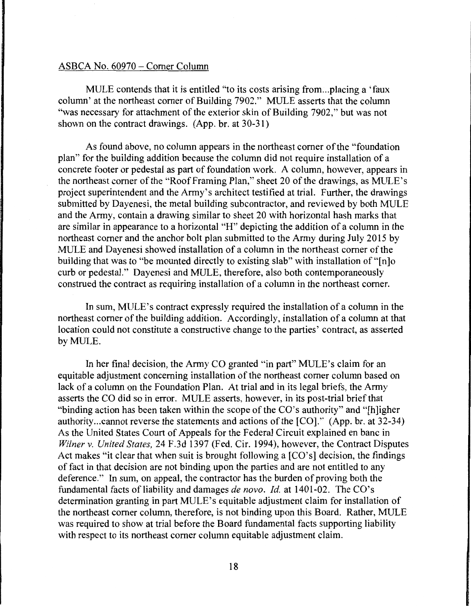#### ASBCA No. 60970 - Comer Column

MULE contends that it is entitled "to its costs arising from...placing a 'faux column' at the northeast comer of Building 7902." MULE asserts that the column "was necessary for attachment of the exterior skin of Building 7902," but was not shown on the contract drawings. (App. br. at 30-31)

As found above, no column appears in the northeast comer of the "foundation plan" for the building addition because the column did not require installation of a concrete footer or pedestal as part of foundation work. A column, however, appears in the northeast comer of the "Roof Framing Plan," sheet 20 of the drawings, as MULE's project superintendent and the Army's architect testified at trial. Further, the drawings submitted by Dayenesi, the metal building subcontractor, and reviewed by both MULE and the Army, contain a drawing similar to sheet 20 with horizontal hash marks that are similar in appearance to a horizontal "H" depicting the addition of a column in the northeast comer and the anchor bolt plan submitted to the Army during July 2015 by MULE and Dayenesi showed installation of a column in the northeast comer of the building that was to "be mounted directly to existing slab" with installation of "[n]o curb or pedestal." Dayenesi and MULE, therefore, also both contemporaneously construed the contract as requiring installation of a column in the northeast comer.

In sum, MULE's contract expressly required the installation of a column in the northeast comer of the building addition. Accordingly, installation of a column at that location could not constitute a constructive change to the parties' contract, as asserted by MULE.

In her final decision, the Army CO granted "in part" MULE's claim for an equitable adjustment concerning installation of the northeast comer column based on lack of a column on the Foundation Plan. At trial and in its legal briefs, the Army asserts the CO did so in error. MULE asserts, however, in its post-trial brief that "binding action has been taken within the scope of the CO's authority" and "[h]igher authority ... cannot reverse the statements and actions of the [CO]." (App. br. at 32-34) As the United States Court of Appeals for the Federal Circuit explained en bane in *Wilner v. United States,* 24 F.3d 1397 (Fed. Cir. 1994), however, the Contract Disputes Act makes "it clear that when suit is brought following a [CO's] decision, the findings of fact in that decision are not binding upon the parties and are not entitled to any deference." In sum, on appeal, the contractor has the burden of proving both the fundamental facts of liability and damages *de nova. Id.* at 1401-02. The CO's determination granting in part MULE's equitable adjustment claim for installation of the northeast comer column, therefore, is not binding upon this Board. Rather, MULE was required to show at trial before the Board fundamental facts supporting liability with respect to its northeast comer column equitable adjustment claim.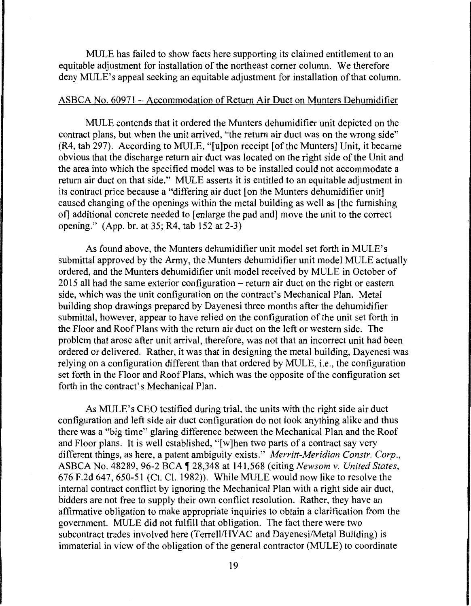MULE has failed to show facts here supporting its claimed entitlement to an equitable adjustment for installation of the northeast comer column. We therefore deny MULE's appeal seeking an equitable adjustment for installation of that column.

# ASBCA No. 60971 - Accommodation of Return Air Duct on Munters Dehumidifier

MULE contends that it ordered the Munters dehumidifier unit depicted on the contract plans, but when the unit arrived, "the return air duct was on the wrong side" (R4, tab 297). According to MULE, "[ u ]pon receipt [of the Munters] Unit, it became obvious that the discharge return air duct was located on the right side of the Unit and the area into which the specified model was to be installed could not accommodate a return air duct on that side." MULE asserts it is entitled to an equitable adjustment in its contract price because a "differing air duct [on the Munters dehumidifier unit] caused changing of the openings within the metal building as well as [the furnishing of] additional concrete needed to [enlarge the pad and] move the unit to the correct opening." (App. br. at 35; R4, tab 152 at 2-3)

As found above, the Munters dehumidifier unit model set forth in MULE's submittal approved by the Army, the Munters dehumidifier unit model MULE actually ordered, and the Munters dehumidifier unit model received by MULE in October of  $2015$  all had the same exterior configuration – return air duct on the right or eastern side, which was the unit configuration on the contract's Mechanical Plan. Metal building shop drawings prepared by Dayenesi three months after the dehumidifier submittal, however, appear to have relied on the configuration of the unit set forth in the Floor and Roof Plans with the return air duct on the left or western side. The problem that arose after unit arrival, therefore, was not that an incorrect unit had been ordered or delivered. Rather, it was that in designing the metal building, Dayenesi was relying on a configuration different than that ordered by MULE, i.e., the configuration set forth in the Floor and Roof Plans, which was the opposite of the configuration set forth in the contract's Mechanical Plan.

As MULE's CEO testified during trial, the units with the right side air duct configuration and left side air duct configuration do not look anything alike and thus there was a "big time" glaring difference between the Mechanical Plan and the Roof and Floor plans. It is well established, "[ w ]hen two parts of a contract say very different things, as here, a patent ambiguity exists." *Merritt-Meridian Constr. Corp.,*  ASBCA No. 48289, 96-2 BCA ~ 28,348 at 141,568 (citing *Newsom v. United States,*  676 F.2d 647, 650-51 (Ct. Cl. 1982)). While MULE would now like to resolve the internal contract conflict by ignoring the Mechanical Plan with a right side air duct, bidders are not free to supply their own conflict resolution. Rather, they have an affirmative obligation to make appropriate inquiries to obtain a clarification from the government. MULE did not fulfill that obligation. The fact there were two subcontract trades involved here (Terrell/HVAC and Dayenesi/Metal Building) is immaterial in view of the obligation of the general contractor (MULE) to coordinate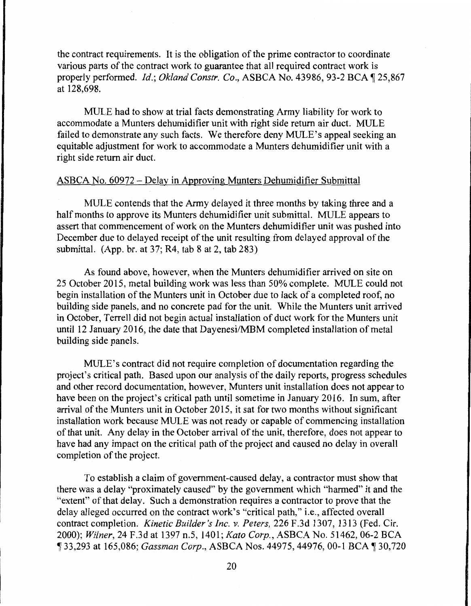the contract requirements. It is the obligation of the prime contractor to coordinate various parts of the contract work to guarantee that all required contract work is properly performed. *Id.; Okland Constr. Co.*, ASBCA No. 43986, 93-2 BCA 1 25,867 at 128,698.

MULE had to show at trial facts demonstrating Army liability for work to accommodate a Munters dehumidifier unit with right side return air duct. MULE failed to demonstrate any such facts. We therefore deny MULE's appeal seeking an equitable adjustment for work to accommodate a Munters dehumidifier unit with a right side return air duct.

# ASBCA No. 60972 - Delay in Approving Munters Dehumidifier Submittal

MULE contends that the Army delayed it three months by taking three and a half months to approve its Munters dehumidifier unit submittal. MULE appears to assert that commencement of work on the Munters dehumidifier unit was pushed into December due to delayed receipt of the unit resulting from delayed approval of the submittal. (App. br. at 37; R4, tab 8 at 2, tab 283)

As found above, however, when the Munters dehumidifier arrived on site on 25 October 2015, metal building work was less than 50% complete. MULE could not begin installation of the Munters unit in October due to lack of a completed roof, no building side panels, and no concrete pad for the unit. While the Munters unit arrived in October, Terrell did not begin actual installation of duct work for the Munters unit until 12 January 2016, the date that Dayenesi/MBM completed installation of metal building side panels.

MULE's contract did not require completion of documentation regarding the project's critical path. Based upon our analysis of the daily reports, progress schedules and other record documentation, however, Munters unit installation does not appear to have been on the project's critical path until sometime in January 2016. In sum, after arrival of the Munters unit in October 2015, it sat for two months without significant installation work because MULE was not ready or capable of commencing installation of that unit. Any delay in the October arrival of the unit, therefore, does not appear to have had any impact on the critical path of the project and caused no delay in overall completion of the project.

To establish a claim of government-caused delay, a contractor must show that there was a delay "proximately caused" by the government which "harmed" it and the "extent" of that delay. Such a demonstration requires a contractor to prove that the delay alleged occurred on the contract work's "critical path," i.e., affected overall contract completion. *Kinetic Builder's Inc. v. Peters,* 226 F.3d 1307, 1313 (Fed. Cir. 2000); *Wilner,* 24 F.3d at 1397 n.5, 1401; *Kato Corp.,* ASBCA No. 51462, 06-2 BCA , 33,293 at 165,086; *Gassman Corp.,* ASBCA Nos. 44975, 44976, 00-1BCA,30,720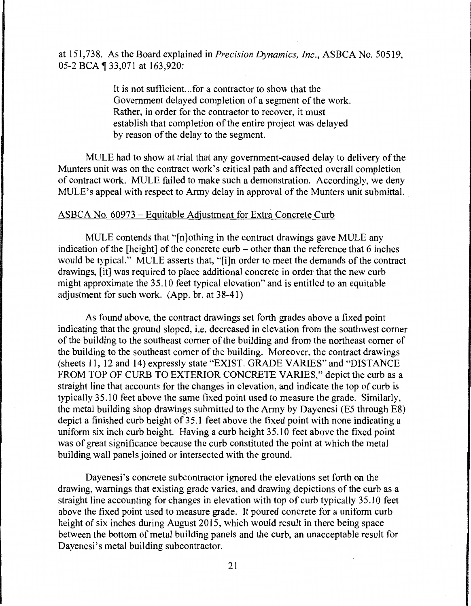at 151,738. As the Board explained in *Precision Dynamics, Inc.,* ASBCA No. 50519, 05-2 BCA ¶ 33,071 at 163,920:

> It is not sufficient.. .for a contractor to show that the Government delayed completion of a segment of the work. Rather, in order for the contractor to recover, it must establish that completion of the entire project was delayed by reason of the delay to the segment.

MULE had to show at trial that any government-caused delay to delivery of the Munters unit was on the contract work's critical path and affected overall completion of contract work. MULE failed to make such a demonstration. Accordingly, we deny MULE's appeal with respect to Army delay in approval of the Munters unit submittal.

#### ASBCA No. 60973 - Equitable Adjustment for Extra Concrete Curb

MULE contends that "[n]othing in the contract drawings gave MULE any indication of the [height] of the concrete curb  $-$  other than the reference that 6 inches would be typical." MULE asserts that, "[i]n order to meet the demands of the contract drawings, [it] was required to place additional concrete in order that the new curb might approximate the 35.10 feet typical elevation" and is entitled to an equitable adjustment for such work. (App. br. at 38-41)

As found above, the contract drawings set forth grades above a fixed point indicating that the ground sloped, i.e. decreased in elevation from the southwest comer of the building to the southeast comer of the building and from the northeast comer of the building to the southeast comer of the building. Moreover, the contract drawings (sheets 11, 12 and 14) expressly state "EXIST. GRADE VARIES" and "DISTANCE FROM TOP OF CURB TO EXTERIOR CONCRETE VARIES," depict the curb as a straight line that accounts for the changes in elevation, and indicate the top of curb is typically 35.10 feet above the same fixed point used to measure the grade. Similarly, the metal building shop drawings submitted to the Army by Dayenesi (E5 through E8) depict a finished curb height of 35.1 feet above the fixed point with none indicating a uniform six inch curb height. Having a curb height 35.10 feet above the fixed point was of great significance because the curb constituted the point at which the metal building wall panels joined or intersected with the ground.

Dayenesi's concrete subcontractor ignored the elevations set forth on the drawing, warnings that existing grade varies, and drawing depictions of the curb as a straight line accounting for changes in elevation with top of curb typically 35.10 feet above the fixed point used to measure grade. It poured concrete for a uniform curb height of six inches during August 2015, which would result in there being space between the bottom of metal building panels and the curb, an unacceptable result for Dayenesi's metal building subcontractor.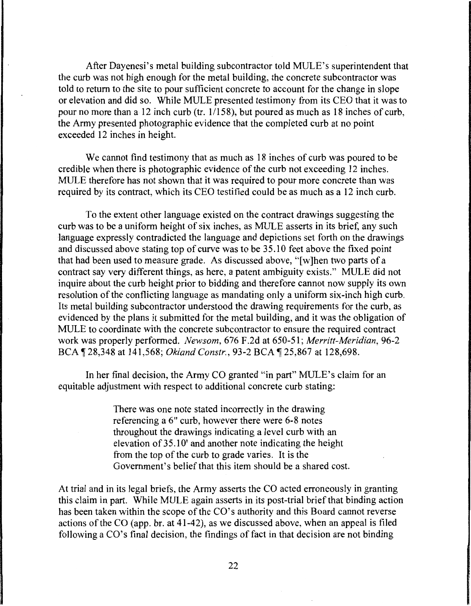After Dayenesi's metal building subcontractor told MULE's superintendent that the curb was not high enough for the metal building, the concrete subcontractor was told to return to the site to pour sufficient concrete to account for the change in slope or elevation and did so. While MULE presented testimony from its CEO that it was to pour no more than a 12 inch curb (tr. 1/158), but poured as much as 18 inches of curb, the Army presented photographic evidence that the completed curb at no point exceeded 12 inches in height.

We cannot find testimony that as much as 18 inches of curb was poured to be credible when there is photographic evidence of the curb not exceeding 12 inches. MULE therefore has not shown that it was required to pour more concrete than was required by its contract, which its CEO testified could be as much as a 12 inch curb.

To the extent other language existed on the contract drawings suggesting the curb was to be a uniform height of six inches, as MULE asserts in its brief, any such language expressly contradicted the language and depictions set forth on the drawings and discussed above stating top of curve was to be 35.10 feet above the fixed point that had been used to measure grade. As discussed above, "[ w ]hen two parts of a contract say very different things, as here, a patent ambiguity exists." MULE did not inquire about the curb height prior to bidding and therefore cannot now supply its own resolution of the conflicting language as mandating only a uniform six-inch high curb. Its metal building subcontractor understood the drawing requirements for the curb, as evidenced by the plans it submitted for the metal building, and it was the obligation of MULE to coordinate with the concrete subcontractor to ensure the required contract work was properly performed. *Newsom,* 676 F .2d at 650-51; *Merritt-Meridian,* 96-2 BCA ¶ 28,348 at 141,568; *Okland Constr.*, 93-2 BCA ¶ 25,867 at 128,698.

In her final decision, the Army CO granted "in part" MULE's claim for an equitable adjustment with respect to additional concrete curb stating:

> There was one note stated incorrectly in the drawing referencing a 6" curb, however there were 6-8 notes throughout the drawings indicating a level curb with an elevation of 35.10' and another note indicating the height from the top of the curb to grade varies. It is the Government's belief that this item should be a shared cost.

At trial and in its legal briefs, the Army asserts the CO acted erroneously in granting this claim in part. While MULE again asserts in its post-trial brief that binding action has been taken within the scope of the CO's authority and this Board cannot reverse actions of the CO (app. br. at 41-42), as we discussed above, when an appeal is filed following a  $CO$ 's final decision, the findings of fact in that decision are not binding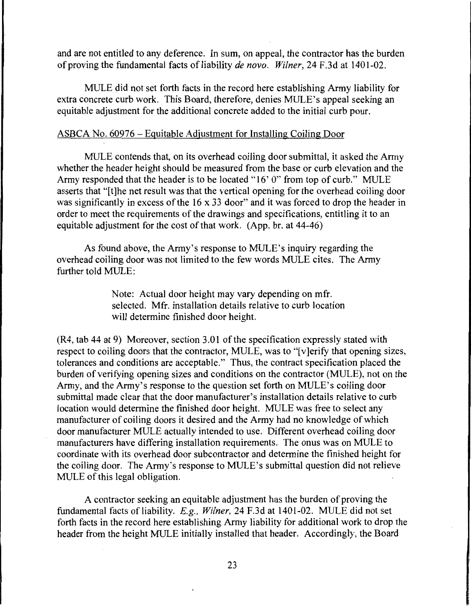and are not entitled to any deference. In sum, on appeal, the contractor has the burden of proving the fundamental facts of liability *de novo. Wilner*, 24 F.3d at 1401-02.

MULE did not set forth facts in the record here establishing Army liability for extra concrete curb work. This Board, therefore, denies MULE's appeal seeking an equitable adjustment for the additional concrete added to the initial curb pour.

## ASBCA No. 60976 - Equitable Adjustment for Installing Coiling Door

MULE contends that, on its overhead coiling door submittal, it asked the Army whether the header height should be measured from the base or curb elevation and the Army responded that the header is to be located "16' O" from top of curb." MULE asserts that "[t]he net result was that the vertical opening for the overhead coiling door was significantly in excess of the 16 x 33 door" and it was forced to drop the header in order to meet the requirements of the drawings and specifications, entitling it to an equitable adjustment for the cost of that work. (App. hr. at 44-46)

As found above, the Army's response to MULE's inquiry regarding the overhead coiling door was not limited to the few words MULE cites. The Army further told MULE:

> Note: Actual door height may vary depending on mfr. selected. Mfr. installation details relative to curb location will determine finished door height.

(R4, tab 44 at 9) Moreover, section 3.01 of the specification expressly stated with respect to coiling doors that the contractor, MULE, was to "[v]erify that opening sizes, tolerances and conditions are acceptable." Thus, the contract specification placed the burden of verifying opening sizes and conditions on the contractor (MULE), not on the Army, and the Army's response to the question set forth on MULE's coiling door submittal made clear that the door manufacturer's installation details relative to curb location would determine the finished door height. MULE was free to select any manufacturer of coiling doors it desired and the Army had no knowledge of which door manufacturer MULE actually intended to use. Different overhead coiling door manufacturers have differing installation requirements. The onus was on MULE to coordinate with its overhead door subcontractor and determine the finished height for the coiling door. The Army's response to MULE's submittal question did not relieve MULE of this legal obligation.

A contractor seeking an equitable adjustment has the burden of proving the fundamental facts of liability. *E.g., Wilner,* 24 F.3d at 1401-02. MULE did not set forth facts in the record here establishing Army liability for additional work to drop the header from the height MULE initially installed that header. Accordingly, the Board